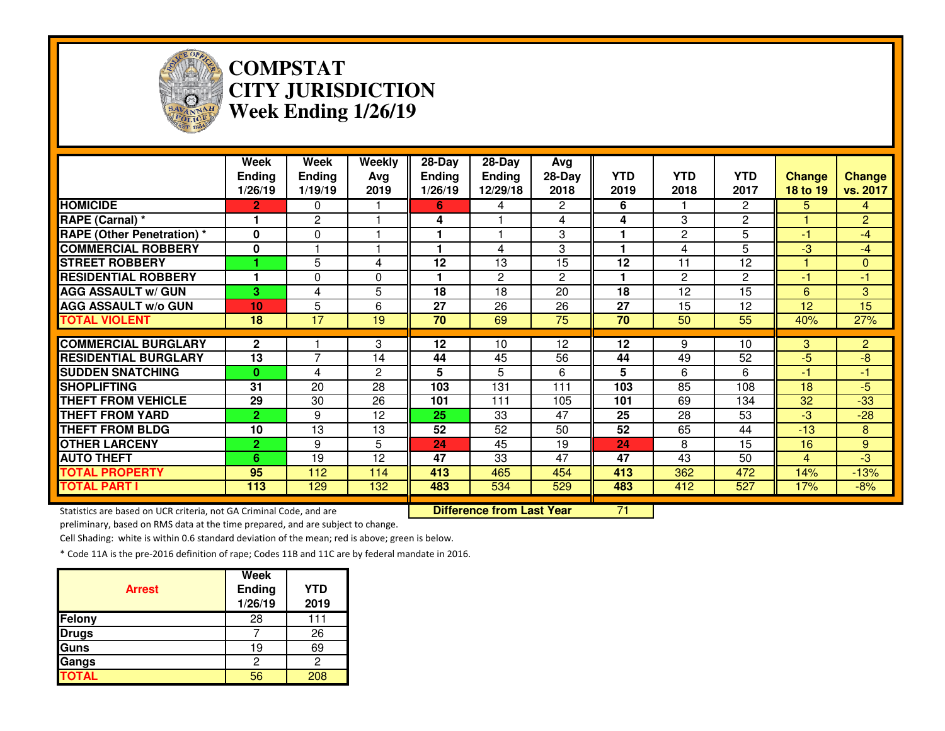

### **COMPSTAT CITY JURISDICTIONWeek Ending 1/26/19**

|                                  | Week<br><b>Ending</b><br>1/26/19 | <b>Week</b><br><b>Ending</b><br>1/19/19 | Weekly<br>Avg<br>2019 | 28-Day<br><b>Ending</b><br>1/26/19 | $28-Day$<br><b>Ending</b><br>12/29/18 | Avg<br>28-Day<br>2018 | <b>YTD</b><br>2019 | <b>YTD</b><br>2018 | <b>YTD</b><br>2017    | <b>Change</b><br>18 to 19 | <b>Change</b><br>vs. 2017 |
|----------------------------------|----------------------------------|-----------------------------------------|-----------------------|------------------------------------|---------------------------------------|-----------------------|--------------------|--------------------|-----------------------|---------------------------|---------------------------|
| <b>HOMICIDE</b>                  | $\mathbf{2}$                     | $\Omega$                                |                       | 6                                  | 4                                     | 2                     | 6                  |                    | $\mathbf{2}^{\prime}$ | 5.                        | 4                         |
| RAPE (Carnal) *                  | 1                                | 2                                       |                       | 4                                  |                                       | 4                     | 4                  | 3                  | $\overline{c}$        |                           | $\overline{2}$            |
| <b>RAPE (Other Penetration)*</b> | $\mathbf{0}$                     | $\Omega$                                |                       |                                    |                                       | 3                     |                    | 2                  | 5                     | -1                        | -4                        |
| <b>COMMERCIAL ROBBERY</b>        | 0                                |                                         |                       | 1                                  | 4                                     | 3                     |                    | 4                  | 5                     | -3                        | $-4$                      |
| <b>STREET ROBBERY</b>            |                                  | 5                                       | 4                     | 12                                 | 13                                    | 15                    | 12                 | 11                 | 12                    |                           | $\overline{0}$            |
| <b>RESIDENTIAL ROBBERY</b>       |                                  | 0                                       | 0                     |                                    | 2                                     | $\overline{2}$        |                    | $\overline{2}$     | $\overline{c}$        | -1                        | $-1$                      |
| <b>AGG ASSAULT w/ GUN</b>        | 3.                               | 4                                       | 5                     | 18                                 | 18                                    | 20                    | 18                 | 12                 | $\overline{15}$       | 6                         | 3                         |
| <b>AGG ASSAULT w/o GUN</b>       | 10                               | 5                                       | 6                     | 27                                 | 26                                    | 26                    | 27                 | 15                 | 12                    | 12                        | $\overline{15}$           |
| <b>TOTAL VIOLENT</b>             | 18                               | 17                                      | 19                    | 70                                 | 69                                    | $\overline{75}$       | 70                 | 50                 | 55                    | 40%                       | 27%                       |
| <b>COMMERCIAL BURGLARY</b>       | $\mathbf{2}$                     |                                         | 3                     | $\overline{12}$                    | 10                                    | 12                    | $\overline{12}$    | 9                  | 10                    | 3 <sup>°</sup>            | $\overline{2}$            |
| <b>RESIDENTIAL BURGLARY</b>      | 13                               | 7                                       | 14                    | 44                                 | 45                                    | 56                    | 44                 | 49                 | 52                    | $-5$                      | $-8$                      |
| <b>SUDDEN SNATCHING</b>          | $\mathbf{0}$                     | 4                                       | $\overline{2}$        | 5                                  | 5                                     | 6                     | 5                  | 6                  | 6                     | -1                        | $-1$                      |
| <b>SHOPLIFTING</b>               | 31                               | 20                                      | 28                    | 103                                | 131                                   | 111                   | 103                | 85                 | 108                   | 18                        | $-5$                      |
|                                  |                                  |                                         |                       |                                    |                                       |                       |                    |                    |                       |                           |                           |
| <b>THEFT FROM VEHICLE</b>        | 29                               | 30                                      | 26                    | 101                                | 111                                   | 105                   | 101                | 69                 | 134                   | 32                        | $-33$                     |
| <b>THEFT FROM YARD</b>           | $\overline{2}$                   | 9                                       | 12                    | 25                                 | 33                                    | 47                    | 25                 | 28                 | 53                    | $-3$                      | $-28$                     |
| <b>THEFT FROM BLDG</b>           | 10                               | 13                                      | 13                    | 52                                 | 52                                    | 50                    | 52                 | 65                 | 44                    | $-13$                     | 8                         |
| <b>OTHER LARCENY</b>             | $\mathbf{2}$                     | 9                                       | 5                     | 24                                 | 45                                    | 19                    | 24                 | 8                  | 15                    | 16                        | 9                         |
| <b>AUTO THEFT</b>                | 6                                | 19                                      | 12                    | 47                                 | 33                                    | 47                    | 47                 | 43                 | 50                    | $\overline{4}$            | -3                        |
| <b>TOTAL PROPERTY</b>            | 95                               | 112                                     | 114                   | 413                                | 465                                   | 454                   | 413                | 362                | 472                   | 14%                       | $-13%$                    |
| <b>TOTAL PART I</b>              | 113                              | 129                                     | 132                   | 483                                | 534                                   | 529                   | 483                | 412                | 527                   | 17%                       | $-8%$                     |

Statistics are based on UCR criteria, not GA Criminal Code, and are **Difference from Last Year** 

preliminary, based on RMS data at the time prepared, and are subject to change.

Cell Shading: white is within 0.6 standard deviation of the mean; red is above; green is below.

| <b>Arrest</b> | Week<br><b>Ending</b><br>1/26/19 | <b>YTD</b><br>2019 |
|---------------|----------------------------------|--------------------|
| Felony        | 28                               | 111                |
| <b>Drugs</b>  |                                  | 26                 |
| Guns          | 19                               | 69                 |
| Gangs         | 2                                | 2                  |
| <b>TOTAL</b>  | 56                               | 208                |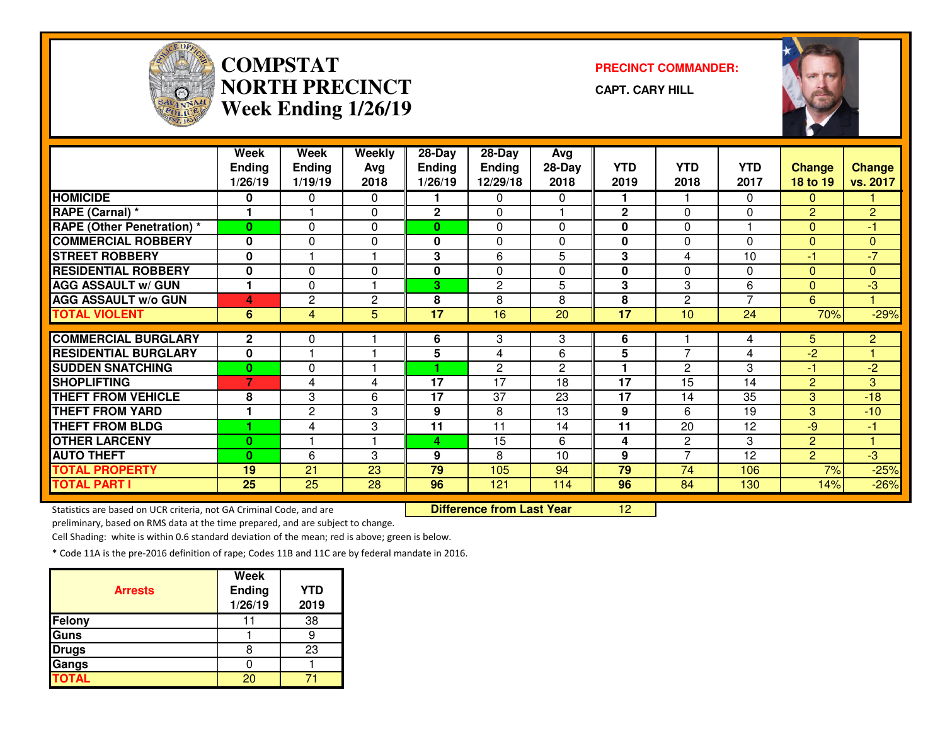

## **COMPSTATNORTH PRECINCTWeek Ending 1/26/19**

**PRECINCT COMMANDER:**

**CAPT. CARY HILL**



|                                                        | Week<br><b>Ending</b> | Week<br><b>Ending</b> | Weekly<br>Avg  | 28-Day<br>Ending | 28-Day<br><b>Ending</b> | Avg<br>28-Day  | <b>YTD</b>      | <b>YTD</b>     | <b>YTD</b>     | <b>Change</b>  | <b>Change</b>                  |
|--------------------------------------------------------|-----------------------|-----------------------|----------------|------------------|-------------------------|----------------|-----------------|----------------|----------------|----------------|--------------------------------|
|                                                        | 1/26/19               | 1/19/19               | 2018           | 1/26/19          | 12/29/18                | 2018           | 2019            | 2018           | 2017           | 18 to 19       | vs. 2017                       |
| <b>HOMICIDE</b>                                        | 0                     | 0                     | 0              |                  | 0                       | 0              |                 |                | 0              | $\Omega$       |                                |
| RAPE (Carnal) *                                        | 1                     |                       | 0              | 2                | 0                       |                | $\mathbf 2$     | 0              | $\Omega$       | $\overline{2}$ | $\overline{2}$                 |
| <b>RAPE (Other Penetration)</b> *                      | $\mathbf{0}$          | $\Omega$              | 0              | 0                | $\Omega$                | $\Omega$       | 0               | $\Omega$       |                | $\Omega$       | $-1$                           |
| <b>COMMERCIAL ROBBERY</b>                              | $\bf{0}$              | $\mathbf{0}$          | 0              | 0                | 0                       | $\Omega$       | 0               | $\Omega$       | $\Omega$       | $\mathbf{0}$   | $\overline{0}$                 |
| <b>STREET ROBBERY</b>                                  | $\bf{0}$              |                       |                | 3                | 6                       | 5              | 3               | 4              | 10             | -1             | $\overline{7}$                 |
| <b>RESIDENTIAL ROBBERY</b>                             | $\bf{0}$              | $\Omega$              | $\mathbf{0}$   | 0                | $\Omega$                | $\Omega$       | 0               | $\Omega$       | $\Omega$       | $\Omega$       | $\overline{0}$                 |
| <b>AGG ASSAULT w/ GUN</b>                              |                       | $\Omega$              |                | 3                | $\overline{2}$          | 5              | 3               | 3              | 6              | $\Omega$       | لې.                            |
| <b>AGG ASSAULT w/o GUN</b>                             | 4                     | 2                     | $\overline{c}$ | 8                | 8                       | 8              | 8               | $\overline{c}$ | $\overline{z}$ | 6              | 1.                             |
| <b>TOTAL VIOLENT</b>                                   | 6                     | 4                     | 5              | $\overline{17}$  | 16                      | 20             | $\overline{17}$ | 10             | 24             | 70%            | $-29%$                         |
|                                                        |                       |                       |                |                  |                         |                |                 |                |                |                |                                |
|                                                        |                       |                       |                |                  |                         |                |                 |                |                |                |                                |
| <b>COMMERCIAL BURGLARY</b>                             | $\mathbf{2}$<br>0     | 0                     |                | 6                | 3<br>4                  | 3<br>6         | 6               | $\overline{7}$ | 4              | 5.             | $\overline{2}$<br>$\mathbf{1}$ |
| <b>RESIDENTIAL BURGLARY</b><br><b>SUDDEN SNATCHING</b> | $\bf{0}$              | $\mathbf{0}$          |                | 5                | $\overline{2}$          | $\overline{2}$ | 5               | $\overline{c}$ | 4<br>3         | $-2$<br>-1     | $-2$                           |
| <b>SHOPLIFTING</b>                                     | 7                     | 4                     | 4              | 17               | 17                      | 18             | 17              | 15             | 14             | $\overline{2}$ | 3                              |
| <b>THEFT FROM VEHICLE</b>                              | 8                     | 3                     | 6              | 17               | 37                      | 23             | 17              | 14             | 35             | 3              | $-18$                          |
| <b>THEFT FROM YARD</b>                                 |                       | $\overline{c}$        | 3              | 9                | 8                       | 13             | 9               | 6              | 19             | 3              | $-10$                          |
| <b>THEFT FROM BLDG</b>                                 |                       | 4                     | 3              | 11               | 11                      | 14             | 11              | 20             | 12             | $-9$           | $-1$                           |
| <b>OTHER LARCENY</b>                                   | $\bf{0}$              |                       |                | 4                | 15                      | 6              | 4               | $\overline{c}$ | 3              | $\overline{2}$ | 1                              |
| <b>AUTO THEFT</b>                                      | $\bf{0}$              | 6                     | 3              | 9                | 8                       | 10             | 9               | $\overline{7}$ | 12             | $\overline{2}$ | لې.                            |
| <b>TOTAL PROPERTY</b>                                  | 19                    | 21                    | 23             | 79               | 105                     | 94             | 79              | 74             | 106            | 7%             | $-25%$                         |
| <b>TOTAL PART I</b>                                    | 25                    | 25                    | 28             | 96               | 121                     | 114            | 96              | 84             | 130            | 14%            | $-26%$                         |

Statistics are based on UCR criteria, not GA Criminal Code, and are **Difference from Last Year** 

preliminary, based on RMS data at the time prepared, and are subject to change.

Cell Shading: white is within 0.6 standard deviation of the mean; red is above; green is below.

|                | <b>Week</b>    |            |
|----------------|----------------|------------|
| <b>Arrests</b> | <b>Ending</b>  | <b>YTD</b> |
|                | 1/26/19        | 2019       |
| Felony         |                | 38         |
| Guns           |                |            |
| <b>Drugs</b>   |                | 23         |
| Gangs          |                |            |
| <b>TOTAL</b>   | 2 <sub>1</sub> |            |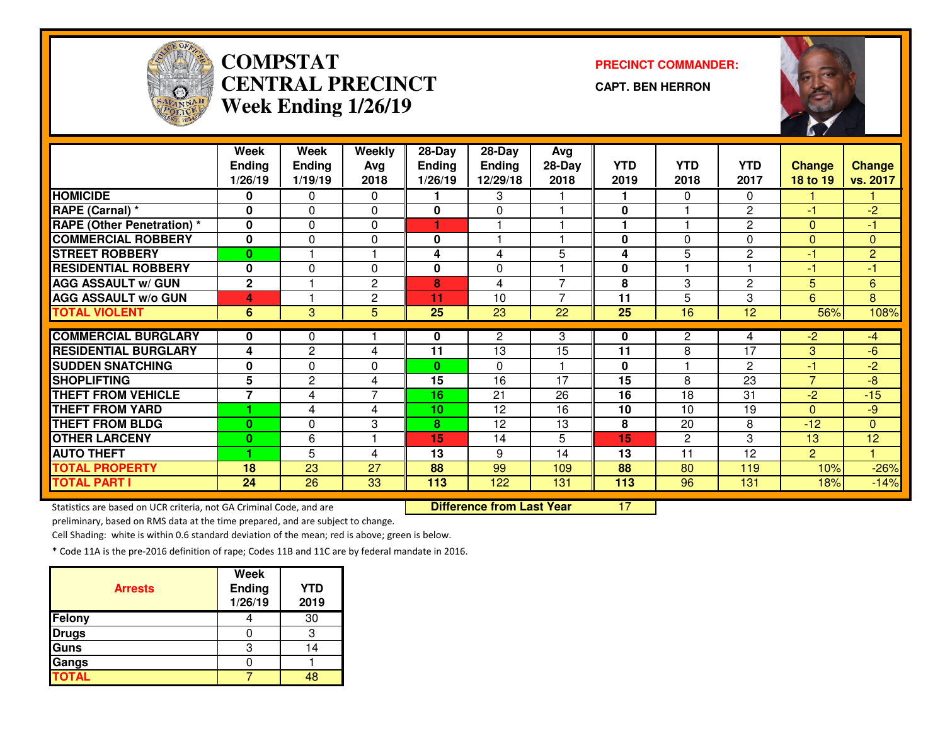

# **COMPSTAT PRECINCT COMMANDER: CENTRAL PRECINCTWeek Ending 1/26/19**

**CAPT. BEN HERRON**



|                                   | Week                    | Week         | Weekly         | $28 - Day$      | $28 - Day$    | Avg            |              |                |                |                          |                |
|-----------------------------------|-------------------------|--------------|----------------|-----------------|---------------|----------------|--------------|----------------|----------------|--------------------------|----------------|
|                                   | <b>Ending</b>           | Ending       | Avg            | <b>Ending</b>   | <b>Ending</b> | 28-Day         | <b>YTD</b>   | <b>YTD</b>     | YTD            | <b>Change</b>            | <b>Change</b>  |
|                                   | 1/26/19                 | 1/19/19      | 2018           | 1/26/19         | 12/29/18      | 2018           | 2019         | 2018           | 2017           | <b>18 to 19</b>          | vs. 2017       |
| <b>HOMICIDE</b>                   | 0                       | $\Omega$     | $\Omega$       |                 | 3             |                |              | $\Omega$       | $\Omega$       |                          |                |
| RAPE (Carnal) *                   | $\bf{0}$                | $\mathbf{0}$ | $\Omega$       | 0               | 0             |                | $\mathbf{0}$ |                | $\overline{2}$ | -1                       | $-2$           |
| <b>RAPE (Other Penetration)</b> * | 0                       | $\Omega$     | $\mathbf 0$    |                 |               |                |              |                | $\mathbf{2}$   | $\Omega$                 | -1             |
| <b>COMMERCIAL ROBBERY</b>         | 0                       | $\Omega$     | $\mathbf 0$    | 0               | -1            |                | $\mathbf 0$  | $\Omega$       | $\Omega$       | $\mathbf{0}$             | $\mathbf{0}$   |
| <b>STREET ROBBERY</b>             | $\bf{0}$                |              |                | 4               | 4             | 5              | 4            | 5              | $\overline{2}$ | $-1'$                    | $\overline{c}$ |
| <b>RESIDENTIAL ROBBERY</b>        | $\Omega$                | 0            | $\Omega$       | 0               | 0             |                | $\mathbf 0$  |                |                | $-1$                     | $-1$           |
| <b>AGG ASSAULT w/ GUN</b>         | $\mathbf{2}$            |              | $\mathbf{2}$   | 8               | 4             | 7              | 8            | 3              | $\overline{2}$ | 5                        | $6\phantom{1}$ |
| <b>AGG ASSAULT w/o GUN</b>        | 4                       |              | $\mathbf{2}$   | 11              | 10            | $\overline{7}$ | 11           | 5              | 3              | 6                        | 8              |
| <b>TOTAL VIOLENT</b>              | 6                       | 3            | 5              | 25              | 23            | 22             | 25           | 16             | 12             | 56%                      | 108%           |
|                                   |                         |              |                |                 |               |                |              |                |                |                          |                |
| <b>COMMERCIAL BURGLARY</b>        | 0                       | 0            |                | 0               | $\mathbf{2}$  | 3              | 0            | $\overline{2}$ | 4              | $-2$                     | $-4$           |
| <b>RESIDENTIAL BURGLARY</b>       | $\overline{\mathbf{4}}$ | 2            | 4              | 11              | 13            | 15             | 11           | 8              | 17             | 3                        | $-6$           |
| <b>SUDDEN SNATCHING</b>           | 0                       | $\Omega$     | 0              | 0               | 0             |                | 0            |                | $\mathbf{2}$   | -1                       | $-2$           |
| <b>SHOPLIFTING</b>                | 5                       | 2            | 4              | 15              | 16            | 17             | 15           | 8              | 23             | $\overline{\phantom{a}}$ | $-8$           |
| <b>THEFT FROM VEHICLE</b>         | 7                       | 4            | $\overline{7}$ | 16              | 21            | 26             | 16           | 18             | 31             | $-2$                     | $-15$          |
| <b>THEFT FROM YARD</b>            |                         | 4            | 4              | 10 <sub>1</sub> | 12            | 16             | 10           | 10             | 19             | $\Omega$                 | -9             |
| <b>THEFT FROM BLDG</b>            | 0                       | $\mathbf{0}$ | 3              | 8               | 12            | 13             | 8            | 20             | 8              | $-12$                    | $\mathbf{0}$   |
| <b>OTHER LARCENY</b>              | 0                       | 6            |                | 15              | 14            | 5              | 15           | 2              | 3              | 13                       | 12             |
| <b>AUTO THEFT</b>                 |                         | 5            | 4              | 13              | 9             | 14             | 13           | 11             | 12             | $\overline{2}$           |                |
| <b>TOTAL PROPERTY</b>             | 18                      | 23           | 27             | 88              | 99            | 109            | 88           | 80             | 119            | 10%                      | $-26%$         |
| <b>TOTAL PART I</b>               | 24                      | 26           | 33             | 113             | 122           | 131            | 113          | 96             | 131            | 18%                      | $-14%$         |

Statistics are based on UCR criteria, not GA Criminal Code, and are **Difference from Last Year** 

<sup>17</sup>

preliminary, based on RMS data at the time prepared, and are subject to change.

Cell Shading: white is within 0.6 standard deviation of the mean; red is above; green is below.

| <b>Arrests</b> | <b>Week</b><br>Ending<br>1/26/19 | <b>YTD</b><br>2019 |
|----------------|----------------------------------|--------------------|
| Felony         |                                  | 30                 |
| <b>Drugs</b>   |                                  |                    |
| Guns           | З                                |                    |
| Gangs          |                                  |                    |
| <b>TOTAL</b>   |                                  |                    |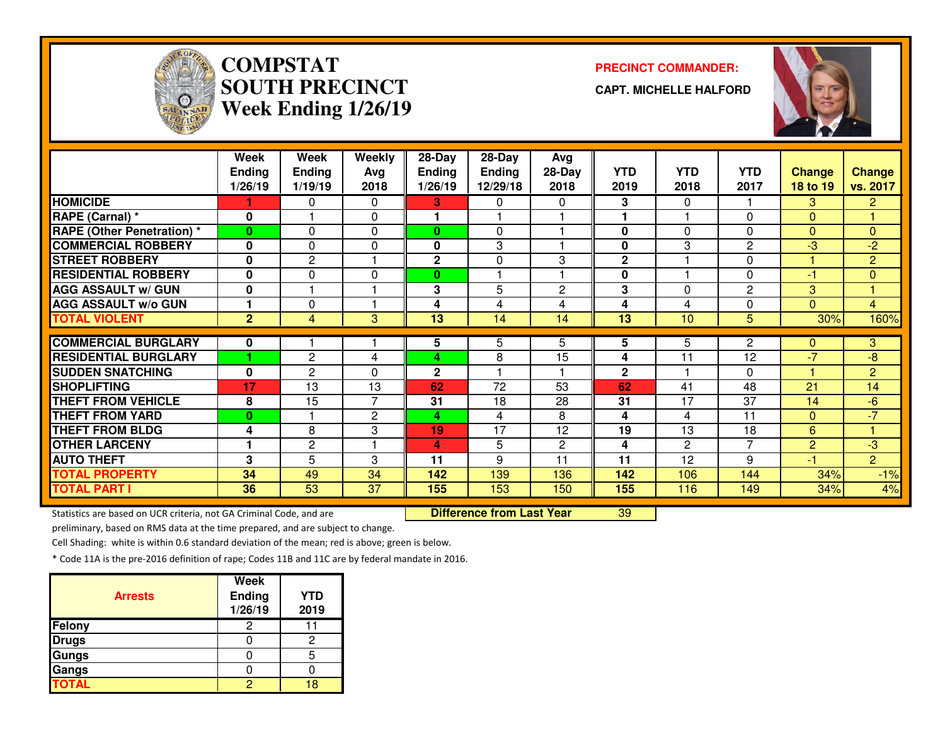

# **COMPSTATSOUTH PRECINCTWeek Ending 1/26/19**

#### **PRECINCT COMMANDER:**

**CAPT. MICHELLE HALFORD**



|                                   | Week           | <b>Week</b>    | Weekly         | 28-Day        | 28-Day          | Avg            |              |                |              |                |                |
|-----------------------------------|----------------|----------------|----------------|---------------|-----------------|----------------|--------------|----------------|--------------|----------------|----------------|
|                                   | <b>Ending</b>  | <b>Ending</b>  | Avg            | <b>Ending</b> | <b>Ending</b>   | 28-Day         | <b>YTD</b>   | <b>YTD</b>     | <b>YTD</b>   | <b>Change</b>  | <b>Change</b>  |
|                                   | 1/26/19        | 1/19/19        | 2018           | 1/26/19       | 12/29/18        | 2018           | 2019         | 2018           | 2017         | 18 to 19       | vs. 2017       |
| <b>HOMICIDE</b>                   |                | 0              | 0              | З.            | 0               | 0              | 3            | $\Omega$       |              | 3              | $\mathbf{2}$   |
| <b>RAPE (Carnal) *</b>            | $\bf{0}$       |                | $\Omega$       |               |                 |                |              |                | $\Omega$     | $\Omega$       |                |
| <b>RAPE (Other Penetration) *</b> | $\bf{0}$       | 0              | 0              | $\bf{0}$      | $\Omega$        |                | 0            | $\Omega$       | 0            | $\Omega$       | $\overline{0}$ |
| <b>COMMERCIAL ROBBERY</b>         | 0              | 0              | 0              | 0             | 3               |                | 0            | 3              | $\mathbf{2}$ | $-3$           | -2             |
| <b>STREET ROBBERY</b>             | 0              | $\overline{2}$ | н              | $\mathbf 2$   | 0               | 3              | $\mathbf 2$  |                | 0            |                | $\overline{2}$ |
| <b>RESIDENTIAL ROBBERY</b>        | $\bf{0}$       | 0              | 0              | $\bf{0}$      |                 |                | 0            |                | $\Omega$     | $-1$           | $\overline{0}$ |
| <b>AGG ASSAULT w/ GUN</b>         | 0              |                |                | 3             | 5               | $\overline{2}$ | 3            | $\Omega$       | $\mathbf{2}$ | 3              |                |
| <b>AGG ASSAULT W/o GUN</b>        | 1              | 0              | 1              | 4             | 4               | 4              | 4            | 4              | $\Omega$     | $\Omega$       | $\overline{4}$ |
| <b>TOTAL VIOLENT</b>              | $\overline{2}$ | $\overline{4}$ | 3              | 13            | 14              | 14             | 13           | 10             | 5            | 30%            | 160%           |
|                                   |                |                |                |               |                 |                |              |                |              |                |                |
| <b>COMMERCIAL BURGLARY</b>        | 0              |                |                | 5             | 5               | 5.             | 5            | 5.             | $\mathbf{2}$ | $\Omega$       | 3              |
| <b>RESIDENTIAL BURGLARY</b>       |                | $\mathbf{2}$   | 4              | 4             | 8               | 15             | 4            | 11             | 12           | $-7$           | $-8$           |
| <b>SUDDEN SNATCHING</b>           | 0              | $\mathbf{2}$   | 0              | $\mathbf{2}$  |                 |                | $\mathbf{2}$ |                | $\Omega$     |                | $\overline{2}$ |
| <b>SHOPLIFTING</b>                | 17             | 13             | 13             | 62            | 72              | 53             | 62           | 41             | 48           | 21             | 14             |
| <b>THEFT FROM VEHICLE</b>         | 8              | 15             | $\overline{7}$ | 31            | 18              | 28             | 31           | 17             | 37           | 14             | $-6$           |
| <b>THEFT FROM YARD</b>            | $\bf{0}$       |                | 2              | 4             | 4               | 8              | 4            | 4              | 11           | $\Omega$       | $-7$           |
| <b>THEFT FROM BLDG</b>            | 4              | 8              | 3              | 19            | $\overline{17}$ | 12             | 19           | 13             | 18           | 6              |                |
| <b>OTHER LARCENY</b>              | 1              | 2              |                | 4             | 5               | $\mathbf{2}$   | 4            | $\overline{2}$ | 7            | $\overline{2}$ | $-3$           |
| <b>AUTO THEFT</b>                 | 3              | 5              | 3              | 11            | 9               | 11             | 11           | 12             | 9            | -1             | $\overline{2}$ |
| <b>TOTAL PROPERTY</b>             | 34             | 49             | 34             | 142           | 139             | 136            | 142          | 106            | 144          | 34%            | $-1%$          |
| <b>TOTAL PART I</b>               | 36             | 53             | 37             | 155           | 153             | 150            | 155          | 116            | 149          | 34%            | 4%             |

Statistics are based on UCR criteria, not GA Criminal Code, and are **Difference from Last Year** 

<sup>39</sup>

preliminary, based on RMS data at the time prepared, and are subject to change.

Cell Shading: white is within 0.6 standard deviation of the mean; red is above; green is below.

| <b>Arrests</b> | <b>Week</b><br>Ending<br>1/26/19 | <b>YTD</b><br>2019 |
|----------------|----------------------------------|--------------------|
| Felony         | 2                                |                    |
| <b>Drugs</b>   |                                  |                    |
| <b>Gungs</b>   |                                  |                    |
| Gangs          |                                  |                    |
| <b>TOTAL</b>   |                                  | 1 Q                |